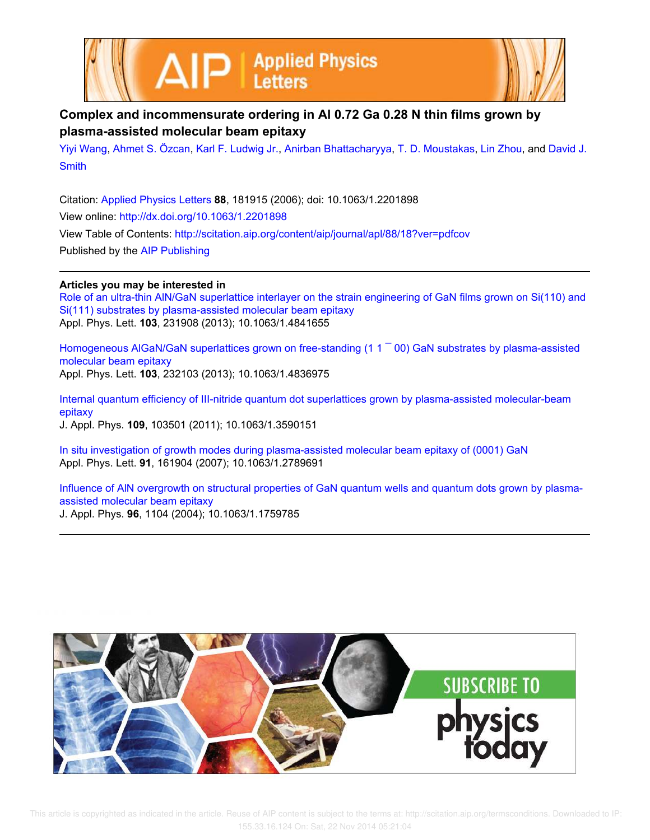



## **Complex and incommensurate ordering in Al 0.72 Ga 0.28 N thin films grown by plasma-assisted molecular beam epitaxy**

Yiyi Wang, Ahmet S. Özcan, Karl F. Ludwig Jr., Anirban Bhattacharyya, T. D. Moustakas, Lin Zhou, and David J. **Smith** 

Citation: Applied Physics Letters **88**, 181915 (2006); doi: 10.1063/1.2201898 View online: http://dx.doi.org/10.1063/1.2201898 View Table of Contents: http://scitation.aip.org/content/aip/journal/apl/88/18?ver=pdfcov Published by the AIP Publishing

## **Articles you may be interested in**

Role of an ultra-thin AlN/GaN superlattice interlayer on the strain engineering of GaN films grown on Si(110) and Si(111) substrates by plasma-assisted molecular beam epitaxy Appl. Phys. Lett. **103**, 231908 (2013); 10.1063/1.4841655

Homogeneous AlGaN/GaN superlattices grown on free-standing (1 1  $^-$  00) GaN substrates by plasma-assisted molecular beam epitaxy Appl. Phys. Lett. **103**, 232103 (2013); 10.1063/1.4836975

Internal quantum efficiency of III-nitride quantum dot superlattices grown by plasma-assisted molecular-beam epitaxy J. Appl. Phys. **109**, 103501 (2011); 10.1063/1.3590151

In situ investigation of growth modes during plasma-assisted molecular beam epitaxy of (0001) GaN Appl. Phys. Lett. **91**, 161904 (2007); 10.1063/1.2789691

Influence of AlN overgrowth on structural properties of GaN quantum wells and quantum dots grown by plasmaassisted molecular beam epitaxy J. Appl. Phys. **96**, 1104 (2004); 10.1063/1.1759785

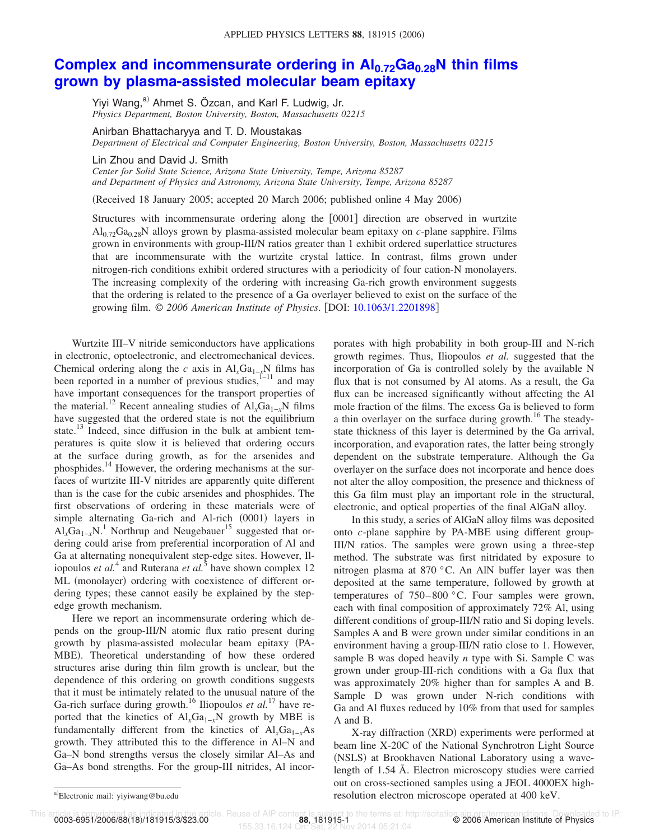## **Complex and incommensurate ordering in Al0.72Ga0.28N thin films grown by plasma-assisted molecular beam epitaxy**

Yiyi Wang,<sup>a)</sup> Ahmet S. Özcan, and Karl F. Ludwig, Jr. *Physics Department, Boston University, Boston, Massachusetts 02215*

Anirban Bhattacharyya and T. D. Moustakas

*Department of Electrical and Computer Engineering, Boston University, Boston, Massachusetts 02215*

Lin Zhou and David J. Smith

*Center for Solid State Science, Arizona State University, Tempe, Arizona 85287 and Department of Physics and Astronomy, Arizona State University, Tempe, Arizona 85287*

(Received 18 January 2005; accepted 20 March 2006; published online 4 May 2006)

Structures with incommensurate ordering along the [0001] direction are observed in wurtzite Al0.72Ga0.28N alloys grown by plasma-assisted molecular beam epitaxy on *c*-plane sapphire. Films grown in environments with group-III/N ratios greater than 1 exhibit ordered superlattice structures that are incommensurate with the wurtzite crystal lattice. In contrast, films grown under nitrogen-rich conditions exhibit ordered structures with a periodicity of four cation-N monolayers. The increasing complexity of the ordering with increasing Ga-rich growth environment suggests that the ordering is related to the presence of a Ga overlayer believed to exist on the surface of the growing film. © *2006 American Institute of Physics*. DOI: 10.1063/1.2201898

Wurtzite III–V nitride semiconductors have applications in electronic, optoelectronic, and electromechanical devices. Chemical ordering along the *c* axis in  $AI_rGa_{1-r}N$  films has been reported in a number of previous studies,  $1-11$  and may have important consequences for the transport properties of the material.<sup>12</sup> Recent annealing studies of  $AI_rGa_{1-r}N$  films have suggested that the ordered state is not the equilibrium state.<sup>13</sup> Indeed, since diffusion in the bulk at ambient temperatures is quite slow it is believed that ordering occurs at the surface during growth, as for the arsenides and phosphides.<sup>14</sup> However, the ordering mechanisms at the surfaces of wurtzite III-V nitrides are apparently quite different than is the case for the cubic arsenides and phosphides. The first observations of ordering in these materials were of simple alternating Ga-rich and Al-rich (0001) layers in  $AI_xGa_{1-x}N$ <sup>1</sup> Northrup and Neugebauer<sup>15</sup> suggested that ordering could arise from preferential incorporation of Al and Ga at alternating nonequivalent step-edge sites. However, Iliopoulos *et al.*<sup>4</sup> and Ruterana *et al.*<sup>5</sup> have shown complex 12 ML (monolayer) ordering with coexistence of different ordering types; these cannot easily be explained by the stepedge growth mechanism.

Here we report an incommensurate ordering which depends on the group-III/N atomic flux ratio present during growth by plasma-assisted molecular beam epitaxy PA-MBE). Theoretical understanding of how these ordered structures arise during thin film growth is unclear, but the dependence of this ordering on growth conditions suggests that it must be intimately related to the unusual nature of the Ga-rich surface during growth.<sup>16</sup> Iliopoulos *et al.*<sup>17</sup> have reported that the kinetics of Al<sub>x</sub>Ga<sub>1-*x*</sub>N growth by MBE is fundamentally different from the kinetics of  $AI_xGa_{1-x}As$ growth. They attributed this to the difference in Al–N and Ga–N bond strengths versus the closely similar Al–As and Ga–As bond strengths. For the group-III nitrides, Al incorporates with high probability in both group-III and N-rich growth regimes. Thus, Iliopoulos *et al.* suggested that the incorporation of Ga is controlled solely by the available N flux that is not consumed by Al atoms. As a result, the Ga flux can be increased significantly without affecting the Al mole fraction of the films. The excess Ga is believed to form a thin overlayer on the surface during growth.<sup>16</sup> The steadystate thickness of this layer is determined by the Ga arrival, incorporation, and evaporation rates, the latter being strongly dependent on the substrate temperature. Although the Ga overlayer on the surface does not incorporate and hence does not alter the alloy composition, the presence and thickness of this Ga film must play an important role in the structural, electronic, and optical properties of the final AlGaN alloy.

In this study, a series of AlGaN alloy films was deposited onto *c*-plane sapphire by PA-MBE using different group-III/N ratios. The samples were grown using a three-step method. The substrate was first nitridated by exposure to nitrogen plasma at 870 °C. An AlN buffer layer was then deposited at the same temperature, followed by growth at temperatures of 750–800 °C. Four samples were grown, each with final composition of approximately 72% Al, using different conditions of group-III/N ratio and Si doping levels. Samples A and B were grown under similar conditions in an environment having a group-III/N ratio close to 1. However, sample B was doped heavily *n* type with Si. Sample C was grown under group-III-rich conditions with a Ga flux that was approximately 20% higher than for samples A and B. Sample D was grown under N-rich conditions with Ga and Al fluxes reduced by 10% from that used for samples A and B.

X-ray diffraction (XRD) experiments were performed at beam line X-20C of the National Synchrotron Light Source (NSLS) at Brookhaven National Laboratory using a wavelength of 1.54 Å. Electron microscopy studies were carried out on cross-sectioned samples using a JEOL 4000EX highresolution electron microscope operated at 400 keV.

0003-6951/2006/88(18)/181915/3/\$23.00

Electronic mail: yiyiwang@bu.edu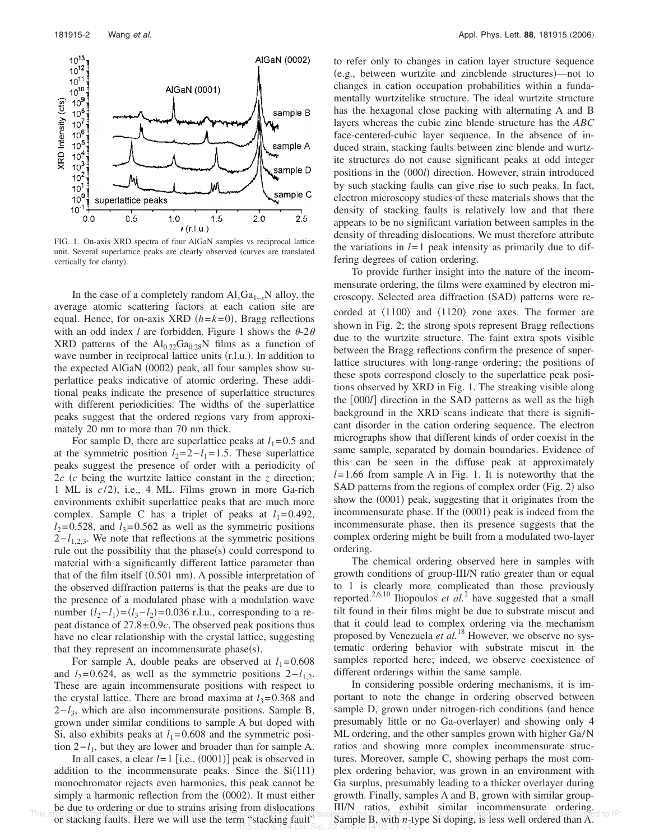

FIG. 1. On-axis XRD spectra of four AlGaN samples vs reciprocal lattice unit. Several superlattice peaks are clearly observed (curves are translated vertically for clarity).

In the case of a completely random  $Al_xGa_{1-x}N$  alloy, the average atomic scattering factors at each cation site are equal. Hence, for on-axis XRD  $(h=k=0)$ , Bragg reflections with an odd index *l* are forbidden. Figure 1 shows the  $\theta$ -2 $\theta$ XRD patterns of the  $Al_{0.72}Ga_{0.28}N$  films as a function of wave number in reciprocal lattice units (r.l.u.). In addition to the expected AlGaN (0002) peak, all four samples show superlattice peaks indicative of atomic ordering. These additional peaks indicate the presence of superlattice structures with different periodicities. The widths of the superlattice peaks suggest that the ordered regions vary from approximately 20 nm to more than 70 nm thick.

For sample D, there are superlattice peaks at  $l_1=0.5$  and at the symmetric position  $l_2=2-l_1=1.5$ . These superlattice peaks suggest the presence of order with a periodicity of 2*c c* being the wurtzite lattice constant in the *z* direction; 1 ML is  $c/2$ ), i.e., 4 ML. Films grown in more Ga-rich environments exhibit superlattice peaks that are much more complex. Sample C has a triplet of peaks at  $l_1=0.492$ ,  $l_2$ =0.528, and  $l_3$ =0.562 as well as the symmetric positions  $2-l_{1,2,3}$ . We note that reflections at the symmetric positions rule out the possibility that the phase $(s)$  could correspond to material with a significantly different lattice parameter than that of the film itself (0.501 nm). A possible interpretation of the observed diffraction patterns is that the peaks are due to the presence of a modulated phase with a modulation wave number  $(l_2 - l_1) = (l_3 - l_2) = 0.036$  r.l.u., corresponding to a repeat distance of  $27.8 \pm 0.9c$ . The observed peak positions thus have no clear relationship with the crystal lattice, suggesting that they represent an incommensurate phase $(s)$ .

For sample A, double peaks are observed at  $l_1=0.608$ and  $l_2$ =0.624, as well as the symmetric positions  $2-l_{1,2}$ . These are again incommensurate positions with respect to the crystal lattice. There are broad maxima at  $l_3 = 0.368$  and 2−*l*<sup>3</sup> , which are also incommensurate positions. Sample B, grown under similar conditions to sample A but doped with Si, also exhibits peaks at  $l_1$ =0.608 and the symmetric position  $2-l_1$ , but they are lower and broader than for sample A.

In all cases, a clear  $l=1$  [i.e.,  $(0001)$ ] peak is observed in addition to the incommensurate peaks. Since the  $Si(111)$ monochromator rejects even harmonics, this peak cannot be simply a harmonic reflection from the (0002). It must either be due to ordering or due to strains arising from dislocations or stacking faults. Here we will use the term "stacking fault"

to refer only to changes in cation layer structure sequence (e.g., between wurtzite and zincblende structures)—not to changes in cation occupation probabilities within a fundamentally wurtzitelike structure. The ideal wurtzite structure has the hexagonal close packing with alternating A and B layers whereas the cubic zinc blende structure has the *ABC* face-centered-cubic layer sequence. In the absence of induced strain, stacking faults between zinc blende and wurtzite structures do not cause significant peaks at odd integer positions in the (000*l*) direction. However, strain introduced by such stacking faults can give rise to such peaks. In fact, electron microscopy studies of these materials shows that the density of stacking faults is relatively low and that there appears to be no significant variation between samples in the density of threading dislocations. We must therefore attribute the variations in  $l=1$  peak intensity as primarily due to differing degrees of cation ordering.

To provide further insight into the nature of the incommensurate ordering, the films were examined by electron microscopy. Selected area diffraction (SAD) patterns were recorded at  $\langle 1100 \rangle$  and  $\langle 1120 \rangle$  zone axes. The former are shown in Fig. 2; the strong spots represent Bragg reflections due to the wurtzite structure. The faint extra spots visible between the Bragg reflections confirm the presence of superlattice structures with long-range ordering; the positions of these spots correspond closely to the superlattice peak positions observed by XRD in Fig. 1. The streaking visible along the 000*l* direction in the SAD patterns as well as the high background in the XRD scans indicate that there is significant disorder in the cation ordering sequence. The electron micrographs show that different kinds of order coexist in the same sample, separated by domain boundaries. Evidence of this can be seen in the diffuse peak at approximately *l*=1.66 from sample A in Fig. 1. It is noteworthy that the SAD patterns from the regions of complex order (Fig. 2) also show the (0001) peak, suggesting that it originates from the incommensurate phase. If the (0001) peak is indeed from the incommensurate phase, then its presence suggests that the complex ordering might be built from a modulated two-layer ordering.

The chemical ordering observed here in samples with growth conditions of group-III/N ratio greater than or equal to 1 is clearly more complicated than those previously reported.<sup>2,6,10</sup> Iliopoulos *et al.*<sup>2</sup> have suggested that a small tilt found in their films might be due to substrate miscut and that it could lead to complex ordering via the mechanism proposed by Venezuela *et al.*<sup>18</sup> However, we observe no systematic ordering behavior with substrate miscut in the samples reported here; indeed, we observe coexistence of different orderings within the same sample.

In considering possible ordering mechanisms, it is important to note the change in ordering observed between sample D, grown under nitrogen-rich conditions (and hence presumably little or no Ga-overlayer) and showing only 4 ML ordering, and the other samples grown with higher Ga/N ratios and showing more complex incommensurate structures. Moreover, sample C, showing perhaps the most complex ordering behavior, was grown in an environment with Ga surplus, presumably leading to a thicker overlayer during growth. Finally, samples A and B, grown with similar group-III/N ratios, exhibit similar incommensurate ordering. This antele is the contract of the company of the company subject to the company subject of the company of stacking faults. Here we will use the term "stacking fault" Sample B, with *n*-type Si doping, is less well ordered 155.33.16.124 On: Sat, 22 Nov 2014 05:21:04